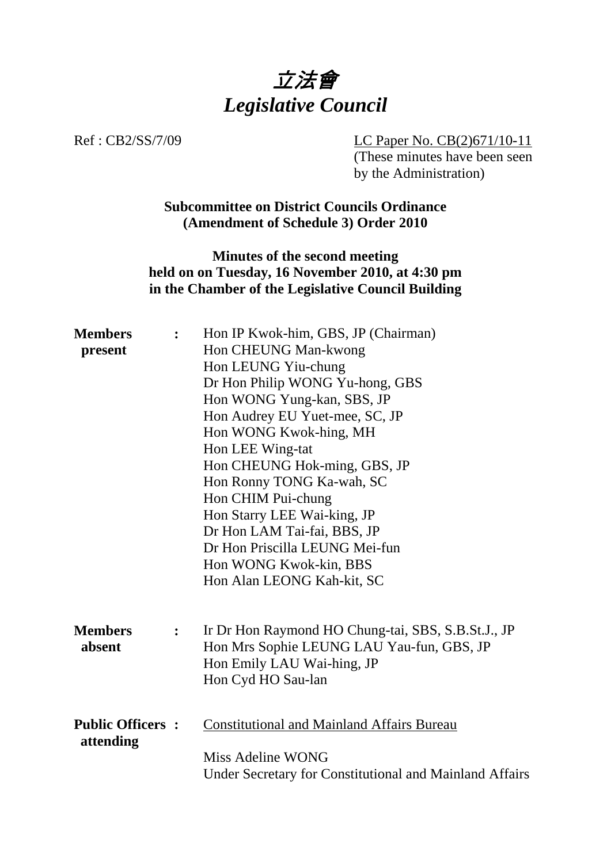

Ref : CB2/SS/7/09 LC Paper No. CB(2)671/10-11

(These minutes have been seen by the Administration)

**Subcommittee on District Councils Ordinance (Amendment of Schedule 3) Order 2010** 

**Minutes of the second meeting held on on Tuesday, 16 November 2010, at 4:30 pm in the Chamber of the Legislative Council Building** 

| <b>Members</b>          | $\ddot{\cdot}$ | Hon IP Kwok-him, GBS, JP (Chairman)                     |
|-------------------------|----------------|---------------------------------------------------------|
| present                 |                | Hon CHEUNG Man-kwong                                    |
|                         |                | Hon LEUNG Yiu-chung                                     |
|                         |                | Dr Hon Philip WONG Yu-hong, GBS                         |
|                         |                | Hon WONG Yung-kan, SBS, JP                              |
|                         |                | Hon Audrey EU Yuet-mee, SC, JP                          |
|                         |                | Hon WONG Kwok-hing, MH                                  |
|                         |                | Hon LEE Wing-tat                                        |
|                         |                | Hon CHEUNG Hok-ming, GBS, JP                            |
|                         |                | Hon Ronny TONG Ka-wah, SC                               |
|                         |                | Hon CHIM Pui-chung                                      |
|                         |                | Hon Starry LEE Wai-king, JP                             |
|                         |                | Dr Hon LAM Tai-fai, BBS, JP                             |
|                         |                | Dr Hon Priscilla LEUNG Mei-fun                          |
|                         |                | Hon WONG Kwok-kin, BBS                                  |
|                         |                | Hon Alan LEONG Kah-kit, SC                              |
|                         |                |                                                         |
| <b>Members</b>          | $\ddot{\cdot}$ | Ir Dr Hon Raymond HO Chung-tai, SBS, S.B.St.J., JP      |
| absent                  |                | Hon Mrs Sophie LEUNG LAU Yau-fun, GBS, JP               |
|                         |                | Hon Emily LAU Wai-hing, JP                              |
|                         |                | Hon Cyd HO Sau-lan                                      |
|                         |                |                                                         |
| <b>Public Officers:</b> |                | <b>Constitutional and Mainland Affairs Bureau</b>       |
| attending               |                |                                                         |
|                         |                | Miss Adeline WONG                                       |
|                         |                | Under Secretary for Constitutional and Mainland Affairs |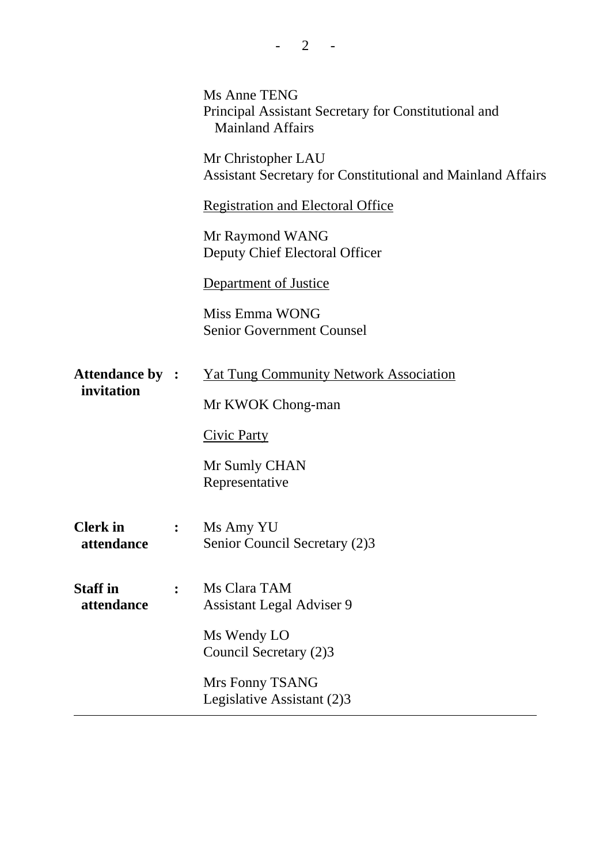|                                      | <b>Ms Anne TENG</b><br>Principal Assistant Secretary for Constitutional and<br><b>Mainland Affairs</b> |
|--------------------------------------|--------------------------------------------------------------------------------------------------------|
|                                      | Mr Christopher LAU<br><b>Assistant Secretary for Constitutional and Mainland Affairs</b>               |
|                                      | <b>Registration and Electoral Office</b>                                                               |
|                                      | Mr Raymond WANG<br>Deputy Chief Electoral Officer                                                      |
|                                      | <b>Department of Justice</b>                                                                           |
|                                      | Miss Emma WONG<br><b>Senior Government Counsel</b>                                                     |
| <b>Attendance by :</b><br>invitation | <b>Yat Tung Community Network Association</b>                                                          |
|                                      | Mr KWOK Chong-man                                                                                      |
|                                      | <b>Civic Party</b>                                                                                     |
|                                      | Mr Sumly CHAN<br>Representative                                                                        |
| <b>Clerk</b> in<br>attendance        | Ms Amy YU<br>Senior Council Secretary (2)3                                                             |
| <b>Staff in</b><br>attendance        | Ms Clara TAM<br><b>Assistant Legal Adviser 9</b>                                                       |
|                                      | Ms Wendy LO<br>Council Secretary (2)3                                                                  |
|                                      | Mrs Fonny TSANG<br>Legislative Assistant (2)3                                                          |
|                                      |                                                                                                        |

 $- 2 - -$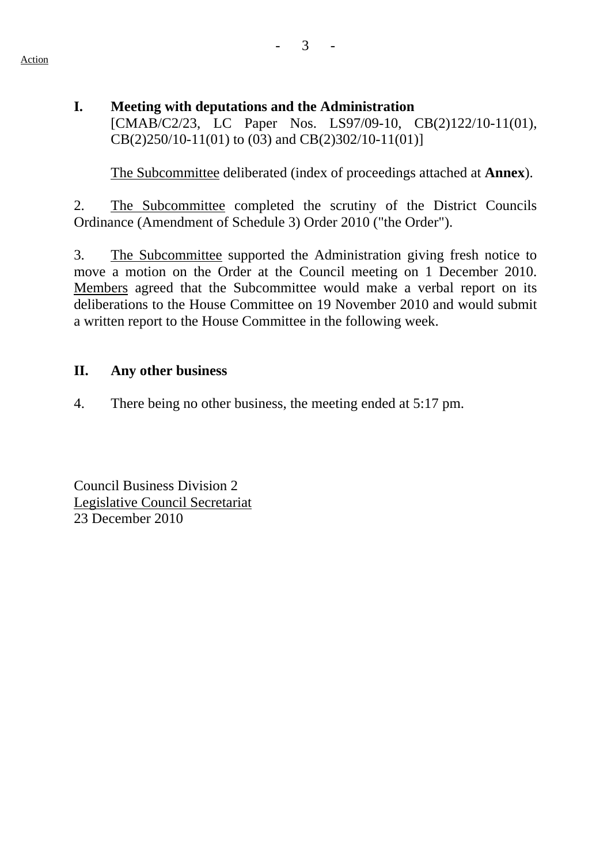**I. Meeting with deputations and the Administration**  [CMAB/C2/23, LC Paper Nos. LS97/09-10, CB(2)122/10-11(01), CB(2)250/10-11(01) to (03) and CB(2)302/10-11(01)]

1. The Subcommittee deliberated (index of proceedings attached at **Annex**).

2. The Subcommittee completed the scrutiny of the District Councils Ordinance (Amendment of Schedule 3) Order 2010 ("the Order").

3. The Subcommittee supported the Administration giving fresh notice to move a motion on the Order at the Council meeting on 1 December 2010. Members agreed that the Subcommittee would make a verbal report on its deliberations to the House Committee on 19 November 2010 and would submit a written report to the House Committee in the following week.

## **II. Any other business**

4. There being no other business, the meeting ended at 5:17 pm.

Council Business Division 2 Legislative Council Secretariat 23 December 2010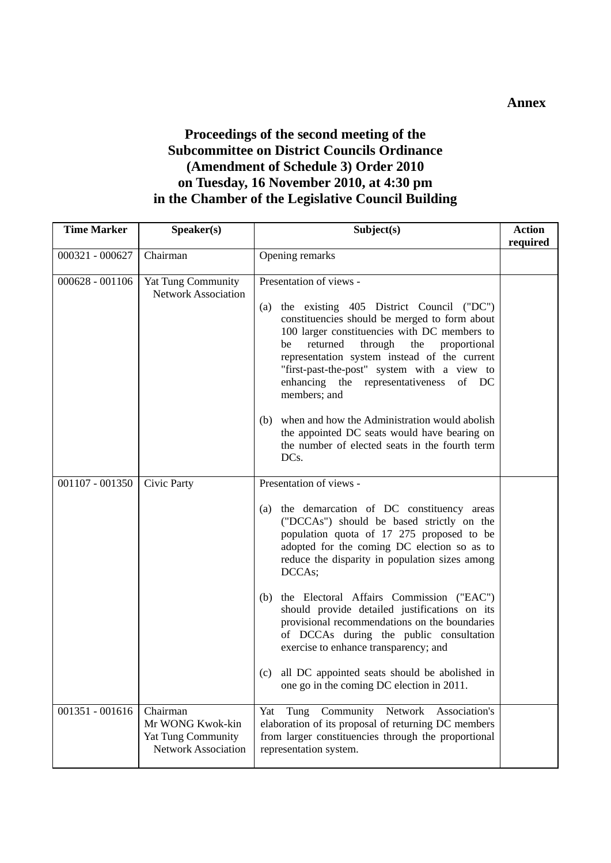**Annex** 

## **Proceedings of the second meeting of the Subcommittee on District Councils Ordinance (Amendment of Schedule 3) Order 2010 on Tuesday, 16 November 2010, at 4:30 pm in the Chamber of the Legislative Council Building**

| <b>Time Marker</b> | Speaker(s)                                                                       | Subject(s)                                                                                                                                                                                                                                                                                                                                                                                                                                                                                                                                                                                                                    | <b>Action</b><br>required |
|--------------------|----------------------------------------------------------------------------------|-------------------------------------------------------------------------------------------------------------------------------------------------------------------------------------------------------------------------------------------------------------------------------------------------------------------------------------------------------------------------------------------------------------------------------------------------------------------------------------------------------------------------------------------------------------------------------------------------------------------------------|---------------------------|
| 000321 - 000627    | Chairman                                                                         | Opening remarks                                                                                                                                                                                                                                                                                                                                                                                                                                                                                                                                                                                                               |                           |
| $000628 - 001106$  | Yat Tung Community<br><b>Network Association</b>                                 | Presentation of views -<br>the existing 405 District Council ("DC")<br>(a)<br>constituencies should be merged to form about<br>100 larger constituencies with DC members to<br>returned<br>through<br>the<br>proportional<br>be<br>representation system instead of the current<br>"first-past-the-post" system with a view to<br>enhancing the representativeness<br>of DC<br>members; and<br>when and how the Administration would abolish<br>(b)<br>the appointed DC seats would have bearing on<br>the number of elected seats in the fourth term<br>DCs.                                                                 |                           |
| $001107 - 001350$  | Civic Party                                                                      | Presentation of views -<br>the demarcation of DC constituency areas<br>(a)<br>("DCCAs") should be based strictly on the<br>population quota of 17 275 proposed to be<br>adopted for the coming DC election so as to<br>reduce the disparity in population sizes among<br>DCCAs;<br>the Electoral Affairs Commission ("EAC")<br>(b)<br>should provide detailed justifications on its<br>provisional recommendations on the boundaries<br>of DCCAs during the public consultation<br>exercise to enhance transparency; and<br>all DC appointed seats should be abolished in<br>(c)<br>one go in the coming DC election in 2011. |                           |
| $001351 - 001616$  | Chairman<br>Mr WONG Kwok-kin<br>Yat Tung Community<br><b>Network Association</b> | Network<br>Community<br>Yat<br>Tung<br>Association's<br>elaboration of its proposal of returning DC members<br>from larger constituencies through the proportional<br>representation system.                                                                                                                                                                                                                                                                                                                                                                                                                                  |                           |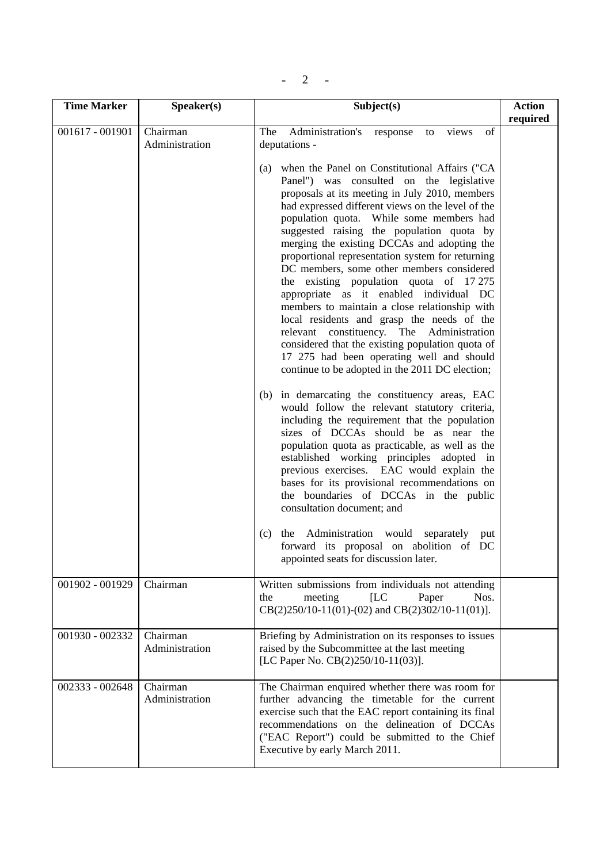|--|

| <b>Time Marker</b> | Speaker(s)                 | Subject(s)                                                                                                                                                                                                                                                                                                                                                                                                                                                                                                                                                                                                                                                                                                                                                                                                                                                                                                                                                                                                                                                                                                                                                                                                                                                                                                                                                                                                                                                                                                                        | <b>Action</b><br>required |
|--------------------|----------------------------|-----------------------------------------------------------------------------------------------------------------------------------------------------------------------------------------------------------------------------------------------------------------------------------------------------------------------------------------------------------------------------------------------------------------------------------------------------------------------------------------------------------------------------------------------------------------------------------------------------------------------------------------------------------------------------------------------------------------------------------------------------------------------------------------------------------------------------------------------------------------------------------------------------------------------------------------------------------------------------------------------------------------------------------------------------------------------------------------------------------------------------------------------------------------------------------------------------------------------------------------------------------------------------------------------------------------------------------------------------------------------------------------------------------------------------------------------------------------------------------------------------------------------------------|---------------------------|
| $001617 - 001901$  | Chairman<br>Administration | Administration's<br>of<br>The<br>views<br>response<br>to<br>deputations -<br>(a) when the Panel on Constitutional Affairs ("CA<br>Panel") was consulted on the legislative<br>proposals at its meeting in July 2010, members<br>had expressed different views on the level of the<br>population quota. While some members had<br>suggested raising the population quota by<br>merging the existing DCCAs and adopting the<br>proportional representation system for returning<br>DC members, some other members considered<br>the existing population quota of 17275<br>appropriate as it enabled individual DC<br>members to maintain a close relationship with<br>local residents and grasp the needs of the<br>constituency. The Administration<br>relevant<br>considered that the existing population quota of<br>17 275 had been operating well and should<br>continue to be adopted in the 2011 DC election;<br>(b) in demarcating the constituency areas, EAC<br>would follow the relevant statutory criteria,<br>including the requirement that the population<br>sizes of DCCAs should be as near the<br>population quota as practicable, as well as the<br>established working principles adopted in<br>previous exercises. EAC would explain the<br>bases for its provisional recommendations on<br>the boundaries of DCCAs in the public<br>consultation document; and<br>Administration would<br>separately<br>(c)<br>the<br>put<br>forward its proposal on abolition of DC<br>appointed seats for discussion later. |                           |
| 001902 - 001929    | Chairman                   | Written submissions from individuals not attending<br>ILC<br>meeting<br>the<br>Paper<br>Nos.<br>$CB(2)250/10-11(01)-(02)$ and $CB(2)302/10-11(01)$ ].                                                                                                                                                                                                                                                                                                                                                                                                                                                                                                                                                                                                                                                                                                                                                                                                                                                                                                                                                                                                                                                                                                                                                                                                                                                                                                                                                                             |                           |
| 001930 - 002332    | Chairman<br>Administration | Briefing by Administration on its responses to issues<br>raised by the Subcommittee at the last meeting<br>[LC Paper No. CB(2)250/10-11(03)].                                                                                                                                                                                                                                                                                                                                                                                                                                                                                                                                                                                                                                                                                                                                                                                                                                                                                                                                                                                                                                                                                                                                                                                                                                                                                                                                                                                     |                           |
| 002333 - 002648    | Chairman<br>Administration | The Chairman enquired whether there was room for<br>further advancing the timetable for the current<br>exercise such that the EAC report containing its final<br>recommendations on the delineation of DCCAs<br>("EAC Report") could be submitted to the Chief<br>Executive by early March 2011.                                                                                                                                                                                                                                                                                                                                                                                                                                                                                                                                                                                                                                                                                                                                                                                                                                                                                                                                                                                                                                                                                                                                                                                                                                  |                           |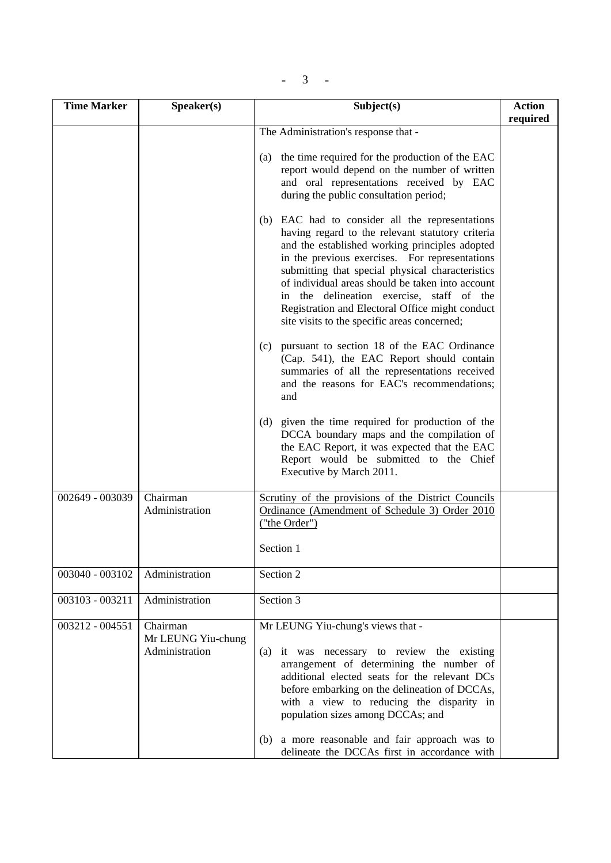| $\overline{\phantom{a}}$ |  |
|--------------------------|--|
|--------------------------|--|

| <b>Time Marker</b> | Speaker(s)                                       | Subject(s)                                                                                                                                                                                                                                                                                                                                                                                                                                                      |          |  |
|--------------------|--------------------------------------------------|-----------------------------------------------------------------------------------------------------------------------------------------------------------------------------------------------------------------------------------------------------------------------------------------------------------------------------------------------------------------------------------------------------------------------------------------------------------------|----------|--|
|                    |                                                  | The Administration's response that -                                                                                                                                                                                                                                                                                                                                                                                                                            | required |  |
|                    |                                                  | the time required for the production of the EAC<br>(a)<br>report would depend on the number of written<br>and oral representations received by EAC<br>during the public consultation period;                                                                                                                                                                                                                                                                    |          |  |
|                    |                                                  | (b) EAC had to consider all the representations<br>having regard to the relevant statutory criteria<br>and the established working principles adopted<br>in the previous exercises. For representations<br>submitting that special physical characteristics<br>of individual areas should be taken into account<br>in the delineation exercise, staff of the<br>Registration and Electoral Office might conduct<br>site visits to the specific areas concerned; |          |  |
|                    |                                                  | (c) pursuant to section 18 of the EAC Ordinance<br>(Cap. 541), the EAC Report should contain<br>summaries of all the representations received<br>and the reasons for EAC's recommendations;<br>and                                                                                                                                                                                                                                                              |          |  |
|                    |                                                  | (d) given the time required for production of the<br>DCCA boundary maps and the compilation of<br>the EAC Report, it was expected that the EAC<br>Report would be submitted to the Chief<br>Executive by March 2011.                                                                                                                                                                                                                                            |          |  |
| 002649 - 003039    | Chairman<br>Administration                       | Scrutiny of the provisions of the District Councils<br>Ordinance (Amendment of Schedule 3) Order 2010<br>("the Order")                                                                                                                                                                                                                                                                                                                                          |          |  |
|                    |                                                  | Section 1                                                                                                                                                                                                                                                                                                                                                                                                                                                       |          |  |
| 003040 - 003102    | Administration                                   | Section 2                                                                                                                                                                                                                                                                                                                                                                                                                                                       |          |  |
| 003103 - 003211    | Administration                                   | Section 3                                                                                                                                                                                                                                                                                                                                                                                                                                                       |          |  |
| 003212 - 004551    | Chairman<br>Mr LEUNG Yiu-chung<br>Administration | Mr LEUNG Yiu-chung's views that -<br>it was necessary to review the existing<br>(a)<br>arrangement of determining the number of<br>additional elected seats for the relevant DCs<br>before embarking on the delineation of DCCAs,<br>with a view to reducing the disparity in<br>population sizes among DCCAs; and<br>(b) a more reasonable and fair approach was to<br>delineate the DCCAs first in accordance with                                            |          |  |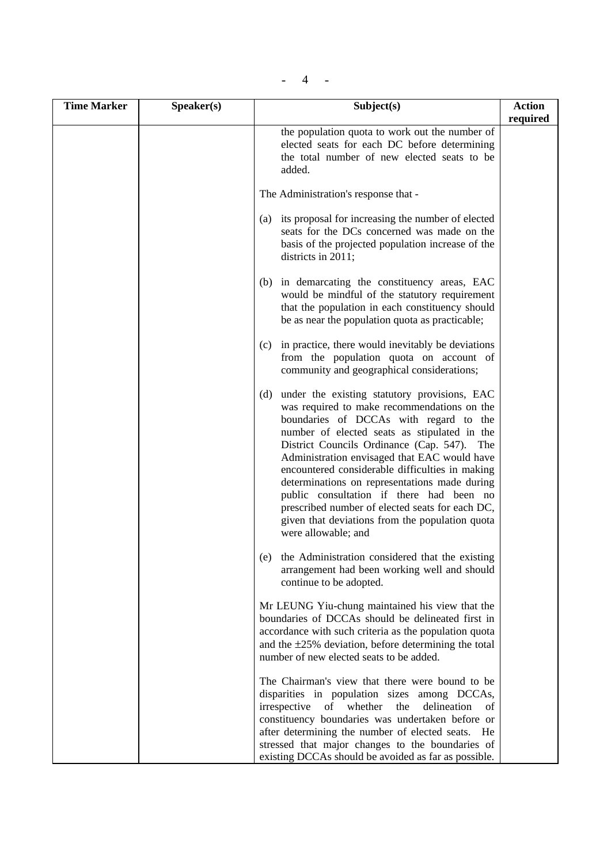|  | ÷ |  |
|--|---|--|
|--|---|--|

| <b>Time Marker</b> | Speaker(s) | Subject(s)                                                                                                                                                                                                                                                                                                                                                                                                                                                                                                                                                               | <b>Action</b><br>required |
|--------------------|------------|--------------------------------------------------------------------------------------------------------------------------------------------------------------------------------------------------------------------------------------------------------------------------------------------------------------------------------------------------------------------------------------------------------------------------------------------------------------------------------------------------------------------------------------------------------------------------|---------------------------|
|                    |            | the population quota to work out the number of<br>elected seats for each DC before determining<br>the total number of new elected seats to be<br>added.                                                                                                                                                                                                                                                                                                                                                                                                                  |                           |
|                    |            | The Administration's response that -                                                                                                                                                                                                                                                                                                                                                                                                                                                                                                                                     |                           |
|                    |            | its proposal for increasing the number of elected<br>(a)<br>seats for the DCs concerned was made on the<br>basis of the projected population increase of the<br>districts in 2011;                                                                                                                                                                                                                                                                                                                                                                                       |                           |
|                    |            | (b) in demarcating the constituency areas, EAC<br>would be mindful of the statutory requirement<br>that the population in each constituency should<br>be as near the population quota as practicable;                                                                                                                                                                                                                                                                                                                                                                    |                           |
|                    |            | in practice, there would inevitably be deviations<br>(c)<br>from the population quota on account of<br>community and geographical considerations;                                                                                                                                                                                                                                                                                                                                                                                                                        |                           |
|                    |            | under the existing statutory provisions, EAC<br>(d)<br>was required to make recommendations on the<br>boundaries of DCCAs with regard to the<br>number of elected seats as stipulated in the<br>District Councils Ordinance (Cap. 547). The<br>Administration envisaged that EAC would have<br>encountered considerable difficulties in making<br>determinations on representations made during<br>public consultation if there had been no<br>prescribed number of elected seats for each DC,<br>given that deviations from the population quota<br>were allowable; and |                           |
|                    |            | the Administration considered that the existing<br>(e)<br>arrangement had been working well and should<br>continue to be adopted.                                                                                                                                                                                                                                                                                                                                                                                                                                        |                           |
|                    |            | Mr LEUNG Yiu-chung maintained his view that the<br>boundaries of DCCAs should be delineated first in<br>accordance with such criteria as the population quota<br>and the $\pm 25\%$ deviation, before determining the total<br>number of new elected seats to be added.                                                                                                                                                                                                                                                                                                  |                           |
|                    |            | The Chairman's view that there were bound to be<br>disparities in population sizes among DCCAs,<br>irrespective<br>whether<br>delineation<br>of<br>the<br>οf<br>constituency boundaries was undertaken before or<br>after determining the number of elected seats.<br>He<br>stressed that major changes to the boundaries of<br>existing DCCAs should be avoided as far as possible.                                                                                                                                                                                     |                           |